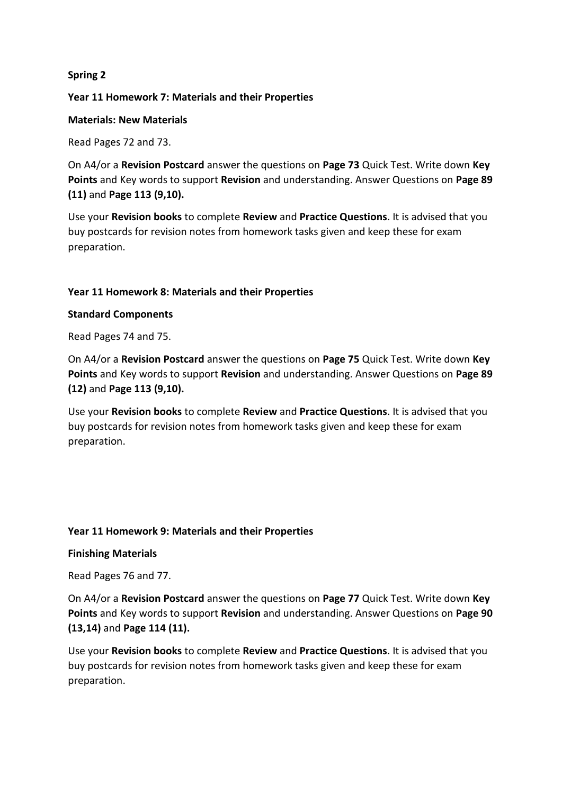# **Spring 2**

### **Year 11 Homework 7: Materials and their Properties**

### **Materials: New Materials**

Read Pages 72 and 73.

On A4/or a **Revision Postcard** answer the questions on **Page 73** Quick Test. Write down **Key Points** and Key words to support **Revision** and understanding. Answer Questions on **Page 89 (11)** and **Page 113 (9,10).**

Use your **Revision books** to complete **Review** and **Practice Questions**. It is advised that you buy postcards for revision notes from homework tasks given and keep these for exam preparation.

# **Year 11 Homework 8: Materials and their Properties**

### **Standard Components**

Read Pages 74 and 75.

On A4/or a **Revision Postcard** answer the questions on **Page 75** Quick Test. Write down **Key Points** and Key words to support **Revision** and understanding. Answer Questions on **Page 89 (12)** and **Page 113 (9,10).**

Use your **Revision books** to complete **Review** and **Practice Questions**. It is advised that you buy postcards for revision notes from homework tasks given and keep these for exam preparation.

### **Year 11 Homework 9: Materials and their Properties**

### **Finishing Materials**

Read Pages 76 and 77.

On A4/or a **Revision Postcard** answer the questions on **Page 77** Quick Test. Write down **Key Points** and Key words to support **Revision** and understanding. Answer Questions on **Page 90 (13,14)** and **Page 114 (11).**

Use your **Revision books** to complete **Review** and **Practice Questions**. It is advised that you buy postcards for revision notes from homework tasks given and keep these for exam preparation.